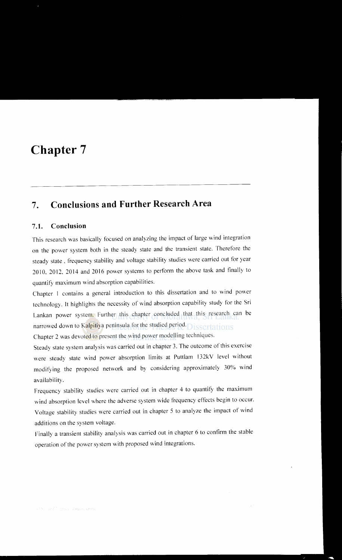## **Chapter 7**

## **7. Conclusions and Further Research Area**

## 7 **.1. Conclusion**

This research was basically focused on analyzing the impact of large wind integration on the power system both in the steady state and the transient state. Therefore the steady state, frequency stability and voltage stability studies were carried out for year 2010, 2012, 2014 and 2016 power systems to perform the above task and finally to quantify maximum wind absorption capabilities.

Chapter I contains a general introduction to this dissertation and to wind power technology. It highlights the necessity of wind absorption capability study for the Sri Lankan power system. Further this chapter concluded that this research can be narrowed down to Kalpitiya peninsula for the studied period. **Safe and Secure 18** 

Chapter 2 was devoted to present the wind power modelling techniques.

Steady state system analysis was carried out in chapter 3. The outcome of this exercise were steady state wind power absorption limits at Puttlam 132kV level without modifying the proposed network and by considering approximately 30% wind availability.

Frequency stability studies were carried out in chapter 4 to quantify the maximum wind absorption level where the adverse system wide frequency effects begin to occur. Voltage stability studies were carried out in chapter 5 to analyze the impact of wind additions on the system voltage.

Finally a transient stability analysis was carried out in chapter 6 to confirm the stable operation of the power system with proposed wind integrations.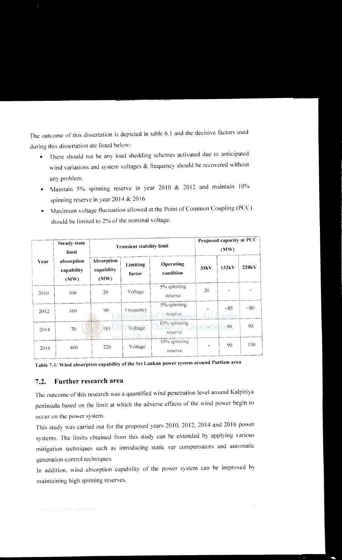The outcome of this dissertation is depicted in table 6.1 and the decisive factors used during this dissertation are listed below:

- There should not be any load shedding schemes activated due to anticipated wind variations and system voltages & frequency should be recovered without any problem.
- Maintain 5% spinning reserve in year 2010 & 2012 and maintain  $10\%$ spinning reserve in year 2014 & 20 16
- Maximum voltage fluctuation allowed at the Point of Common Coupling (PCC) should be limited to 2% of the nominal voltage.

| Year | <b>Steady state</b><br>limit<br>absorption<br>capability<br>(MW) | <b>Transient stability limit</b> |                             |                         | Proposed capacity at PCC<br>(MW) |                 |                    |
|------|------------------------------------------------------------------|----------------------------------|-----------------------------|-------------------------|----------------------------------|-----------------|--------------------|
|      |                                                                  | Absorption<br>capability<br>(MW) | Limiting<br>factor          | Operating<br>condition  | 33kV                             | 132kV           | 220 <sub>k</sub> V |
| 2010 | 160                                                              | 20                               | Voltage                     | 5% spinning<br>reserve  | 20                               |                 |                    |
| 2012 | 160                                                              | 90                               | Frequency<br><b>rersify</b> | 5% spinning<br>reserve  |                                  | < 85<br>anka    | < 80               |
| 2014 | 70                                                               | $185$ $\Box$                     | Voltage                     | 10% spinning<br>reserve | serta                            | 90 <sub>1</sub> | 95                 |
| 2016 | 400                                                              | 220                              | Voltage                     | 10% spinning<br>reserve |                                  | 90              | 130                |

Table 7-1: Wind absorption capability of the Sri Lankan power system around Puttlam area

## 7 .2. **Further** research area

The outcome of this research was a quantified wind penetration level around Kalpitiya peninsula based on the limit at which the adverse effects of the wind power begin to occur on the power system.

This study was carried out for the proposed years 2010, 2012, 2014 and 2016 power systems. The limits obtained from this study can be extended by applying various mitigation techniques such as introducing static var compensators and automatic generation control techniques.

In addition, wind absorption capability of the power system can be improved by maintaining high spinning reserves.